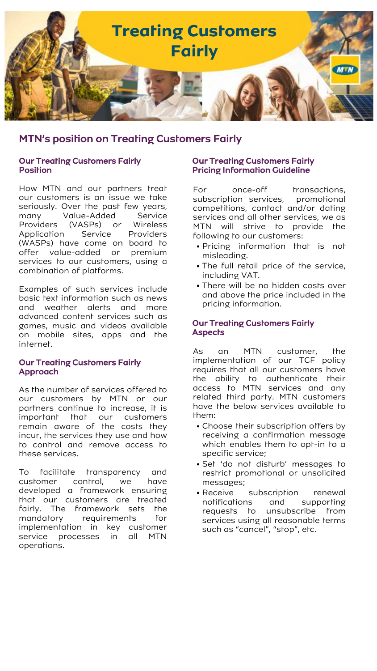

# MTN's position on Treating Customers Fairly

#### Our Treating Customers Fairly **Position**

How MTN and our partners treat our customers is an issue we take seriously. Over the past few years, many Value-Added Service<br>Providers (VASPs) or Wireless Providers (VASPs) or Wireless Application Service Providers (WASPs) have come on board to offer value-added or premium services to our customers, using a combination of platforms.

Examples of such services include basic text information such as news and weather alerts and more advanced content services such as games, music and videos available on mobile sites, apps and the internet.

#### Our Treating Customers Fairly Approach

As the number of services offered to our customers by MTN or our partners continue to increase, it is important that our customers remain aware of the costs they incur, the services they use and how to control and remove access to these services.

To facilitate transparency and customer control, we have developed a framework ensuring that our customers are treated fairly. The framework sets the mandatory requirements for implementation in key customer service processes in all MTN operations.

#### Our Treating Customers Fairly Pricing Information Guideline

For once-off transactions, subscription services, promotional competitions, contact and/or dating services and all other services, we as MTN will strive to provide the following to our customers:

- Pricing information that is not misleading.
- The full retail price of the service, including VAT.
- There will be no hidden costs over and above the price included in the pricing information.

#### Our Treating Customers Fairly **Aspects**

As an MTN customer, the implementation of our TCF policy requires that all our customers have the ability to authenticate their access to MTN services and any related third party. MTN customers have the below services available to them:

- Choose their subscription offers by receiving a confirmation message which enables them to opt-in to a specific service;
- Set 'do not disturb' messages to restrict promotional or unsolicited messages;
- Receive subscription renewal notifications and supporting requests to unsubscribe from services using all reasonable terms such as "cancel", "stop", etc.